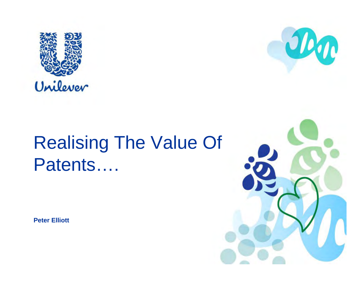



**Peter Elliott**



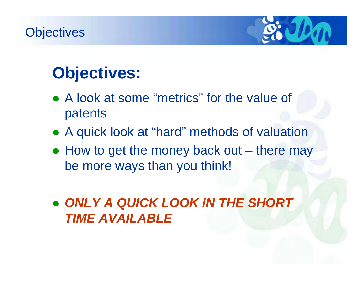#### **Objectives**



## **Objectives:**

- A look at some "metrics" for the value of patents
- A quick look at "hard" methods of valuation
- $\bullet$  How to get the money back out there may be more ways than you think!
- z *ONLY A QUICK LOOK IN THE SHORT TIME AVAILABLE*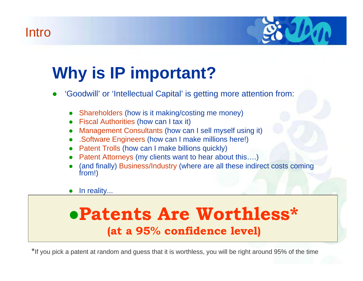#### Intro



# **Why is IP important?**

- O 'Goodwill' or 'Intellectual Capital' is getting more attention from:
	- O Shareholders (how is it making/costing me money)
	- O Fiscal Authorities (how can I tax it)
	- O Management Consultants (how can I sell myself using it)
	- O .Software Engineers (how can I make millions here!)
	- O Patent Trolls (how can I make billions quickly)
	- O Patent Attorneys (my clients want to hear about this….)
	- O (and finally) Business/Industry (where are all these indirect costs coming from!)
	- O In reality...

## <sup>z</sup>**Patents Are Worthless\* (at a 95% confidence level)**

\*If you pick a patent at random and guess that it is worthless, you will be right around 95% of the time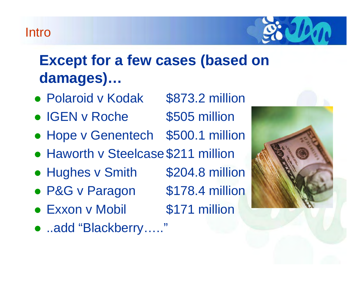#### Intro



## **Except for a few cases (based on damages)…**

- Polaroid v Kodak \$873.2 million
- IGEN v Roche \$505 million
- Hope v Genentech \$500.1 million
- Haworth v Steelcase \$211 million
- Hughes v Smith \$204.8 million
- P&G v Paragon \$178.4 million
- Exxon v Mobil \$171 million
- ..add "Blackberry....."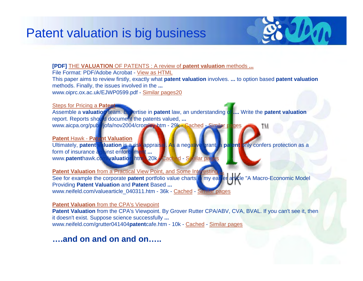

**[PDF]** THE **VALUATION** OF PATENTS : A review of **patent valuation** methods **...**

File Format: PDF/Adobe Acrobat - View as HTML

This paper aims to review firstly, exactly what **patent valuation** involves. **...** to option based **patent valuation** methods. Finally, the issues involved in the **...**

www.oiprc.ox.ac.uk/EJWP0599.pdf - Similar pages20

Steps for Pricing a **Patent**

Assemble a **valuation** team. Expertise in **patent** law, an understanding of **....** Write the **patent valuation** report. Reports should document the patents valued, **...** www.aicpa.org/pubs/jofa/nov2004/cromley.htm - 29k - Cached - Similar pages

**Patent** Hawk - **Patent Valuation**

Ultimately, **patent valuation** is a risk appraisal. As a negative grant, a **patent** only confers protection as a form of insurance against enforcement **...** www.patenthawk.com/valuation.htm - 20k - Cached - Similar page

**Patent Valuation** from a Practical View Point, and Some Interesting **...**

See for example the corporate **patent** portfolio value charts in my earlier article "A Macro-Economic Model Providing **Patent Valuation** and **Patent** Based **...** www.neifeld.com/valuearticle\_040311.htm - 36k - Cached - Similar pages

**Patent Valuation** from the CPA's Viewpoint

**Patent Valuation** from the CPA's Viewpoint. By Grover Rutter CPA/ABV, CVA, BVAL. If you can't see it, then it doesn't exist. Suppose science successfully **...** www.neifeld.com/grutter041404**patent**cafe.htm - 10k - Cached - Similar pages

**….and on and on and on…..**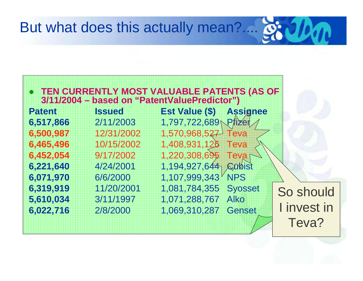### But what does this actually mean?....

|  | • TEN CURRENTLY MOST VALUABLE PATENTS (AS OF        |  |
|--|-----------------------------------------------------|--|
|  | <b>8/11/2004 - based on "PatentValuePredictor")</b> |  |

| <b>Patent</b> | <b>Issued</b> | <b>Est Value (\$) Assignee</b>   |
|---------------|---------------|----------------------------------|
| 6,517,866     | 2/11/2003     | 1,797,722,689 Pfizer             |
| 6,500,987     | 12/31/2002    | 1,570,968,527 Teva               |
| 6,465,496     | 10/15/2002    | 1,408,931,126 Teva               |
| 6,452,054     | 9/17/2002     | 1,220,308,695 Teva $\rightarrow$ |
| 6,221,640     | 4/24/2001     | 1,194,927,644 Qubist             |
| 6,071,970     | 6/6/2000      | 1,107,999,343 NPS                |
| 6,319,919     | 11/20/2001    | 1,081,784,355 Syosset            |
| 5,610,034     | 3/11/1997     | 1,071,288,767<br>Alko            |
| 6,022,716     | 2/8/2000      | 1,069,310,287<br><b>Genset</b>   |
|               |               |                                  |

So should I invest in Teva?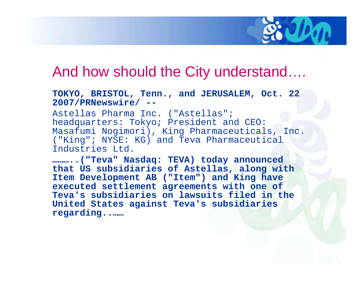

#### And how should the City understand….

#### **TOKYO, BRISTOL, Tenn., and JERUSALEM, Oct. 22 2007/PRNewswire/ --**

Astellas Pharma Inc. ("Astellas"; headquarters: Tokyo; President and CEO: Masafumi Nogimori), King Pharmaceuticals, Inc. ("King"; NYSE: KG) and Teva Pharmaceutical Industries Ltd.

**………..("Teva" Nasdaq: TEVA) today announced that US subsidiaries of Astellas, along with Item Development AB ("Item") and King have executed settlement agreements with one of Teva's subsidiaries on lawsuits filed in the United States against Teva's subsidiaries regarding..……**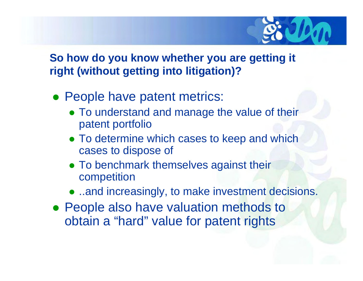

#### **So how do you know whether you are getting it right (without getting into litigation)?**

- People have patent metrics:
	- To understand and manage the value of their patent portfolio
	- To determine which cases to keep and which cases to dispose of
	- To benchmark themselves against their competition
	- ..and increasingly, to make investment decisions.
- People also have valuation methods to obtain a "hard" value for patent rights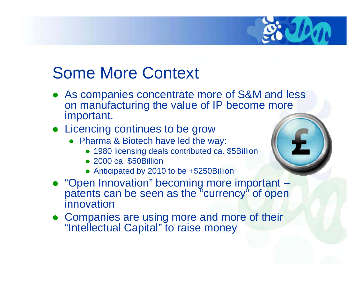## Some More Context

- $\bullet$  As companies concentrate more of S&M and less on manufacturing the value of IP become more important.
- Licencing continues to be grow
	- Pharma & Biotech have led the way:
		- 1980 licensing deals contributed ca. \$5Billion
		- 2000 ca. \$50Billion
		- Anticipated by 2010 to be +\$250Billion
- "Open Innovation" becoming more important patents can be seen as the "currency" of open innovation
- Companies are using more and more of their "Intellectual Capital" to raise money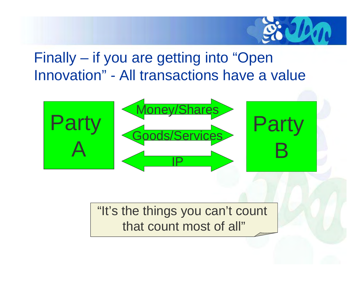

## Finally – if you are getting into "Open Innovation" - All transactions have a value



"It's the things you can't count that count most of all"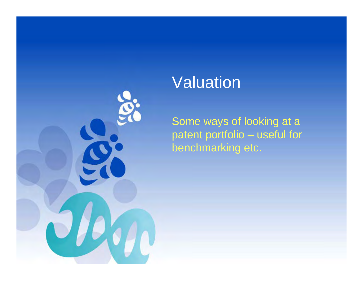

## Valuation

Some ways of looking at a patent portfolio – useful for benchmarking etc.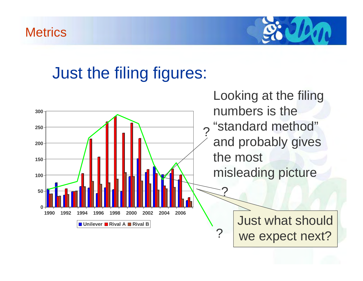#### **Metrics**



## Just the filing figures:

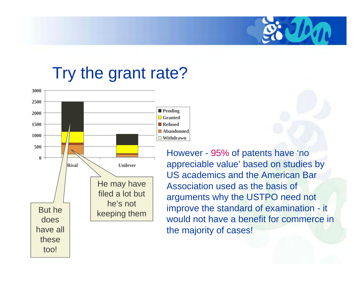## Try the grant rate?



However - 95% of patents have 'no appreciable value' based on studies by US academics and the American Bar Association used as the basis of arguments why the USTPO need not improve the standard of examination - it would not have a benefit for commerce in the majority of cases!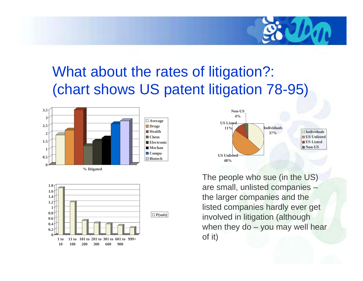

## What about the rates of litigation?: (chart shows US patent litigation 78-95)







The people who sue (in the US) are small, unlisted companies – the larger companies and the listed companies hardly ever get involved in litigation (although when they  $do - you$  may well hear of it)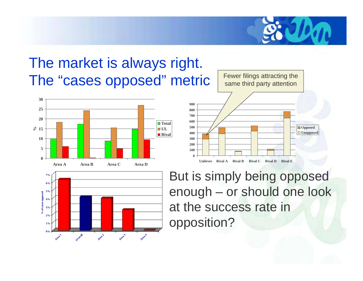

## The market is always right. The "cases opposed" metric







But is simply being opposed enough – or should one look at the success rate in opposition?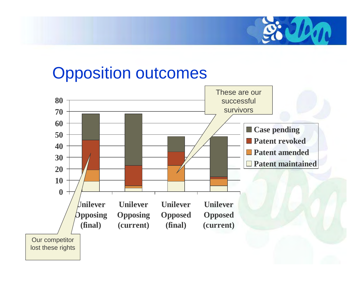

## Opposition outcomes

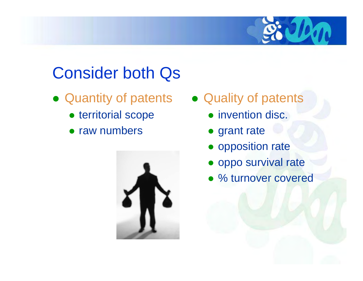

## Consider both Qs

- Quantity of patents Quality of patents
	- territorial scope
	- raw numbers



- - invention disc.
	- grant rate
	- opposition rate
	- oppo survival rate
	- % turnover covered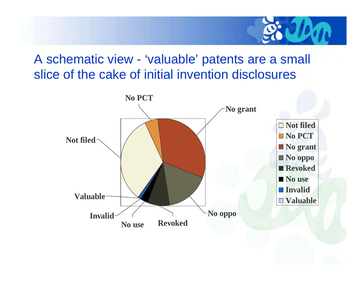

#### A schematic view - 'valuable' patents are a small slice of the cake of initial invention disclosures

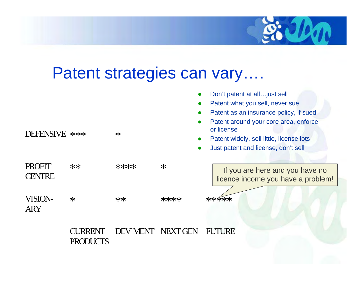

## Patent strategies can vary….

| DEFENSIVE ***                  |                            | $\ast$            |      | Don't patent at all just sell<br>Patent what you sell, never sue<br>Patent as an insurance policy, if sued<br>Patent around your core area, enforce<br>or license<br>Patent widely, sell little, license lots<br>Just patent and license, don't sell |
|--------------------------------|----------------------------|-------------------|------|------------------------------------------------------------------------------------------------------------------------------------------------------------------------------------------------------------------------------------------------------|
| <b>PROFIT</b><br><b>CENTRE</b> | $**$                       | ****              | $*$  | If you are here and you have no<br>licence income you have a problem!                                                                                                                                                                                |
| <b>VISION-</b><br><b>ARY</b>   | $\ast$                     | $**$              | **** | *****                                                                                                                                                                                                                                                |
|                                | CURRENT<br><b>PRODUCTS</b> | DEV'MENT NEXT GEN |      | <b>FUTURE</b>                                                                                                                                                                                                                                        |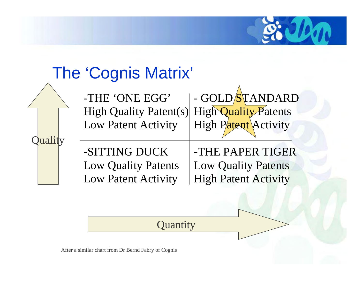

## The 'Cognis Matrix'

Quality

-THE 'ONE EGG' High Quality Patent(s) Low Patent Activity - GOLD/STANDARD High Quality Patents High Patent Activity

-SITTING DUCK Low Quality Patents Low Patent Activity

-THE PAPER TIGER Low Quality Patents High Patent Activity

**Quantity** 

After a similar chart from Dr Bernd Fabry of Cognis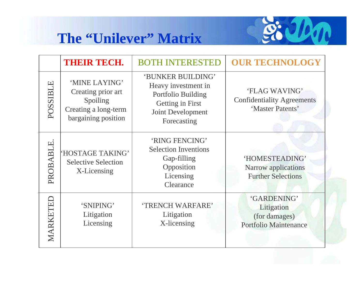#### **The "Unilever" Matrix**



|          | THEIR TECH.                                                                                    | <b>BOTH INTERESTED</b>                                                                                                 | <b>OUR TECHNOLOGY</b>                                                      |
|----------|------------------------------------------------------------------------------------------------|------------------------------------------------------------------------------------------------------------------------|----------------------------------------------------------------------------|
| POSSIBLE | 'MINE LAYING'<br>Creating prior art<br>Spoiling<br>Creating a long-term<br>bargaining position | 'BUNKER BUILDING'<br>Heavy investment in<br>Portfolio Building<br>Getting in First<br>Joint Development<br>Forecasting | 'FLAG WAVING'<br><b>Confidentiality Agreements</b><br>'Master Patents'     |
| PROBABLE | 'HOSTAGE TAKING'<br><b>Selective Selection</b><br>X-Licensing                                  | 'RING FENCING'<br><b>Selection Inventions</b><br>Gap-filling<br>Opposition<br>Licensing<br>Clearance                   | 'HOMESTEADING'<br>Narrow applications<br><b>Further Selections</b>         |
| MARKETE  | 'SNIPING'<br>Litigation<br>Licensing                                                           | 'TRENCH WARFARE'<br>Litigation<br>X-licensing                                                                          | 'GARDENING'<br>Litigation<br>(for damages)<br><b>Portfolio Maintenance</b> |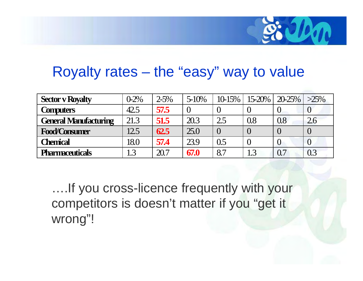

### Royalty rates – the "easy" way to value

| <b>Sector v Royalty</b>      | $0-2%$ | $2 - 5%$ | $5 - 10\%$ | $10-15\%$ |     | $15-20\%$   20-25% | $>25\%$ |
|------------------------------|--------|----------|------------|-----------|-----|--------------------|---------|
| <b>Computers</b>             | 42.5   | 57.5     | $\Omega$   |           |     |                    |         |
| <b>General Manufacturing</b> | 21.3   | 51.5     | 20.3       | 2.5       | 0.8 | 0.8                | 2.6     |
| <b>Food/Consumer</b>         | 12.5   | 62.5     | 25.0       |           |     |                    |         |
| <b>Chemical</b>              | 18.0   | 57.4     | 23.9       | 0.5       |     |                    |         |
| <b>Pharmaceuticals</b>       | 1.3    | 20.7     | 67.0       | 8.7       | 1.3 | 0.7                | 0.3     |

….If you cross-licence frequently with your competitors is doesn't matter if you "get it wrong"!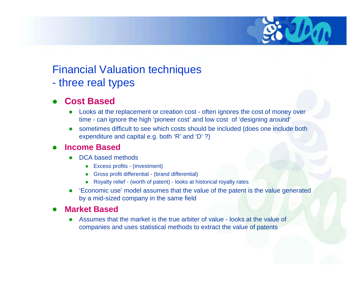#### Financial Valuation techniques

 $\mathcal{L}_{\mathcal{A}}$ three real types

#### O **Cost Based**

- $\bullet$  Looks at the replacement or creation cost - often ignores the cost of money over time - can ignore the high 'pioneer cost' and low cost of 'designing around'
- o sometimes difficult to see which costs should be included (does one include both expenditure and capital e.g. both 'R' and 'D' ?)

#### O **Income Based**

- o DCA based methods
	- $\bullet$ Excess profits - (investment)
	- Gross profit differential (brand differential)
	- o Royalty relief - (worth of patent) - looks at historical royalty rates
- O 'Economic use' model assumes that the value of the patent is the value generated by a mid-sized company in the same field

#### O **Market Based**

o Assumes that the market is the true arbiter of value - looks at the value of companies and uses statistical methods to extract the value of patents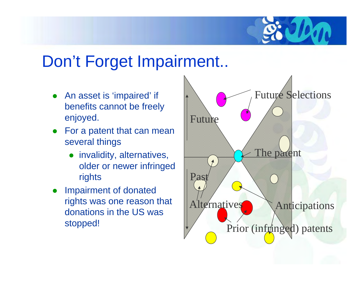

## Don't Forget Impairment..

- O An asset is 'impaired' if benefits cannot be freely enjoyed.
- $\bullet$  For a patent that can mean several things
	- invalidity, alternatives, older or newer infringed rights
- O Impairment of donated rights was one reason that donations in the US was stopped!

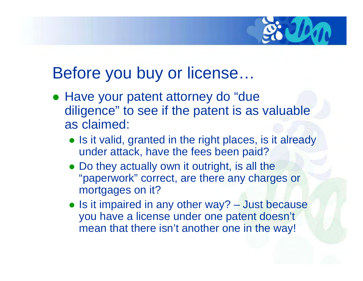

## Before you buy or license…

- Have your patent attorney do "due diligence" to see if the patent is as valuable as claimed:
	- Is it valid, granted in the right places, is it already under attack, have the fees been paid?
	- Do they actually own it outright, is all the "paperwork" correct, are there any charges or mortgages on it?
	- Is it impaired in any other way? Just because you have a license under one patent doesn't mean that there isn't another one in the way!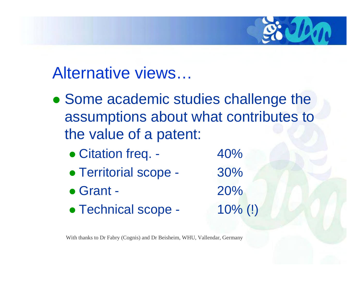

## Alternative views…

- Some academic studies challenge the assumptions about what contributes to the value of a patent:
	- Citation freq. 40%
	- Territorial scope 30%
	- $\bullet$  Grant 20%
	- Technical scope 10% (!)

With thanks to Dr Fabry (Cognis) and Dr Beisheim, WHU, Vallendar, Germany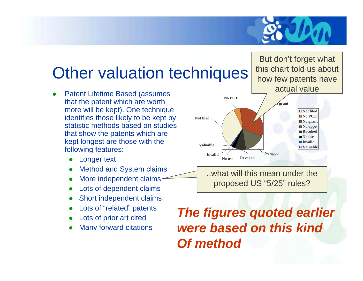

## Other valuation techniques

- O Patent Lifetime Based (assumes that the patent which are worth more will be kept). One technique identifies those likely to be kept by statistic methods based on studies that show the patents which are kept longest are those with the following features:
	- O Longer text
	- O Method and System claims
	- O More independent claims
	- O Lots of dependent claims
	- O Short independent claims
	- O Lots of "related" patents
	- O Lots of prior art cited
	- O Many forward citations

But don't forget what this chart told us about how few patents have actual value



..what will this mean under the proposed US "5/25" rules?

### *The figures quoted earlier were based on this kindOf method*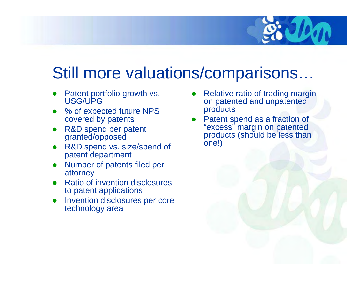

## Still more valuations/comparisons…

- O Patent portfolio growth vs. USG/UPG
- O % of expected future NPS covered by patents
- O R&D spend per patent granted/opposed
- O R&D spend vs. size/spend of patent department
- O Number of patents filed per attorney
- O Ratio of invention disclosures to patent applications
- O Invention disclosures per core technology area
- O Relative ratio of trading margin on patented and unpatented products
- O Patent spend as a fraction of "excess" margin on patented products (should be less than one!)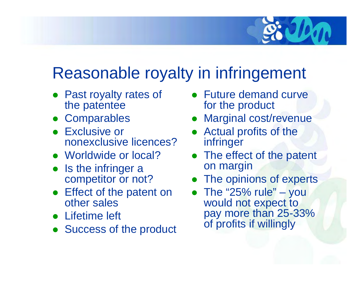

## Reasonable royalty in infringement

- Past royalty rates of the patentee
- **Comparables**
- **Exclusive or** nonexclusive licences?
- Worldwide or local?
- $\bullet$  Is the infringer a competitor or not?
- Effect of the patent on other sales
- Lifetime left
- $\bullet$ Success of the product
- Future demand curve for the product
- $\bullet$ Marginal cost/revenue
- $\bullet$  Actual profits of the infringer
- The effect of the patent on margin
- $\bullet$ The opinions of experts
- The "25% rule" you would not expect to pay more than 25-33% of profits if willingly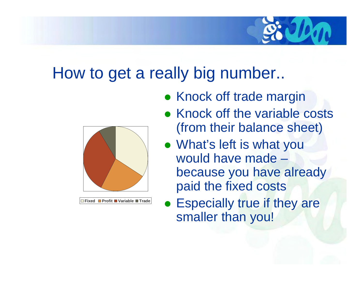

## How to get a really big number..



**Fixed Profit Variable Trade**

- Knock off trade margin
- Knock off the variable costs (from their balance sheet)
- What's left is what you would have made –because you have already paid the fixed costs
- Especially true if they are smaller than you!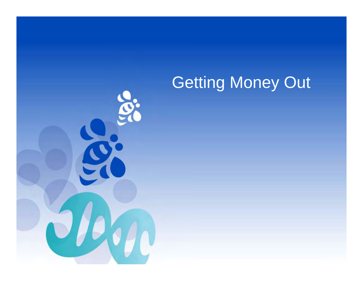# Getting Money Out

 $\tilde{\mathbf{C}}$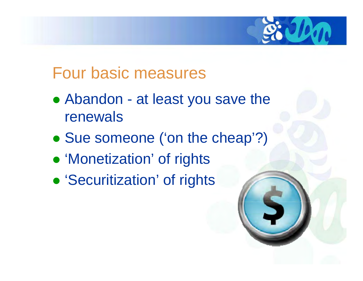

## Four basic measures

- Abandon at least you save the renewals
- Sue someone ('on the cheap'?)
- 'Monetization' of rights
- **'Securitization' of rights**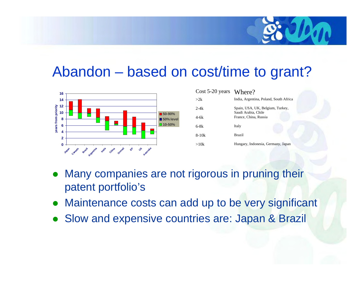

### Abandon – based on cost/time to grant?



| $Cost 5-20 years$ Where? |                                                         |
|--------------------------|---------------------------------------------------------|
| >2k                      | India, Argentina, Poland, South Africa                  |
| $2-4k$                   | Spain, USA, UK, Belgium, Turkey,<br>Saudi Arabia, Chile |
| 4-6k                     | France, China, Russia                                   |
| $6-8k$                   | Italy                                                   |
| $8-10k$                  | <b>Brazil</b>                                           |
| >10k                     | Hungary, Indonesia, Germany, Japan                      |

- $\bullet$  Many companies are not rigorous in pruning their patent portfolio's
- $\bullet$ Maintenance costs can add up to be very significant
- $\bullet$ Slow and expensive countries are: Japan & Brazil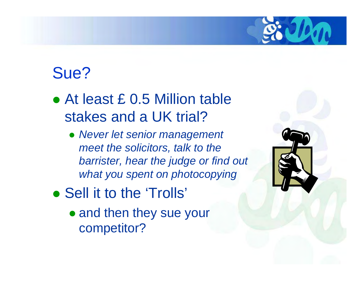

## Sue?

- At least £ 0.5 Million table stakes and a UK trial?
	- z *Never let senior management meet the solicitors, talk to the barrister, hear the judge or find out what you spent on photocopying*
- Sell it to the 'Trolls'
	- and then they sue your competitor?

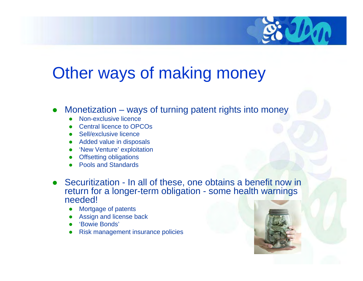

## Other ways of making money

- O Monetization – ways of turning patent rights into money
	- o Non-exclusive licence
	- o Central licence to OPCOs
	- O Sell/exclusive licence
	- o Added value in disposals
	- o 'New Venture' exploitation
	- O Offsetting obligations
	- o Pools and Standards
- O Securitization - In all of these, one obtains a benefit now in return for a longer-term obligation - some health warnings needed!
	- o Mortgage of patents
	- o Assign and license back
	- O 'Bowie Bonds'
	- o Risk management insurance policies

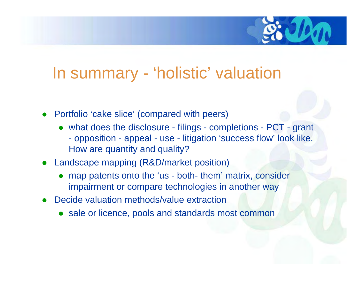

## In summary - 'holistic' valuation

- O Portfolio 'cake slice' (compared with peers)
	- what does the disclosure filings completions PCT grant  $\mathcal{L}_{\mathcal{A}}$  opposition - appeal - use - litigation 'success flow' look like. How are quantity and quality?
- Landscape mapping (R&D/market position)
	- O map patents onto the 'us - both- them' matrix, consider impairment or compare technologies in another way
- O Decide valuation methods/value extraction
	- sale or licence, pools and standards most common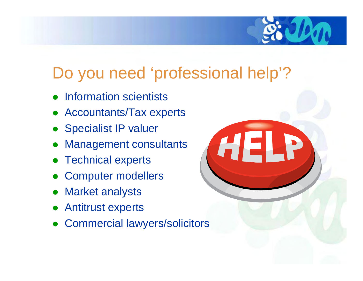

## Do you need 'professional help'?

- $\bullet$ Information scientists
- Accountants/Tax experts
- Specialist IP valuer
- $\bullet$ Management consultants
- $\bullet$ Technical experts
- $\bullet$ Computer modellers
- $\bullet$ Market analysts
- $\bullet$ Antitrust experts
- $\bullet$ Commercial lawyers/solicitors